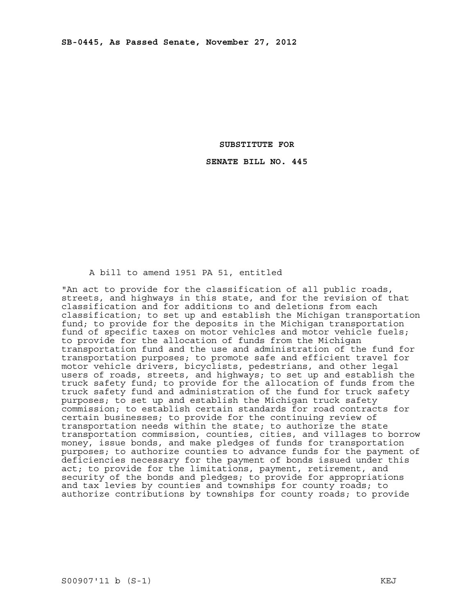### **SUBSTITUTE FOR**

### **SENATE BILL NO. 445**

### A bill to amend 1951 PA 51, entitled

"An act to provide for the classification of all public roads, streets, and highways in this state, and for the revision of that classification and for additions to and deletions from each classification; to set up and establish the Michigan transportation fund; to provide for the deposits in the Michigan transportation fund of specific taxes on motor vehicles and motor vehicle fuels; to provide for the allocation of funds from the Michigan transportation fund and the use and administration of the fund for transportation purposes; to promote safe and efficient travel for motor vehicle drivers, bicyclists, pedestrians, and other legal users of roads, streets, and highways; to set up and establish the truck safety fund; to provide for the allocation of funds from the truck safety fund and administration of the fund for truck safety purposes; to set up and establish the Michigan truck safety commission; to establish certain standards for road contracts for certain businesses; to provide for the continuing review of transportation needs within the state; to authorize the state transportation commission, counties, cities, and villages to borrow money, issue bonds, and make pledges of funds for transportation purposes; to authorize counties to advance funds for the payment of deficiencies necessary for the payment of bonds issued under this act; to provide for the limitations, payment, retirement, and security of the bonds and pledges; to provide for appropriations and tax levies by counties and townships for county roads; to authorize contributions by townships for county roads; to provide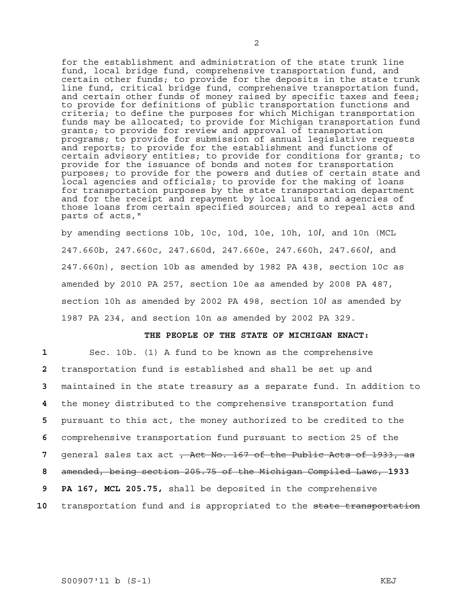for the establishment and administration of the state trunk line fund, local bridge fund, comprehensive transportation fund, and certain other funds; to provide for the deposits in the state trunk line fund, critical bridge fund, comprehensive transportation fund, and certain other funds of money raised by specific taxes and fees; to provide for definitions of public transportation functions and criteria; to define the purposes for which Michigan transportation funds may be allocated; to provide for Michigan transportation fund grants; to provide for review and approval of transportation programs; to provide for submission of annual legislative requests and reports; to provide for the establishment and functions of certain advisory entities; to provide for conditions for grants; to provide for the issuance of bonds and notes for transportation purposes; to provide for the powers and duties of certain state and local agencies and officials; to provide for the making of loans for transportation purposes by the state transportation department and for the receipt and repayment by local units and agencies of those loans from certain specified sources; and to repeal acts and parts of acts,"

by amending sections 10b, 10c, 10d, 10e, 10h, 10*l*, and 10n (MCL 247.660b, 247.660c, 247.660d, 247.660e, 247.660h, 247.660*l*, and 247.660n), section 10b as amended by 1982 PA 438, section 10c as amended by 2010 PA 257, section 10e as amended by 2008 PA 487, section 10h as amended by 2002 PA 498, section 10*l* as amended by 1987 PA 234, and section 10n as amended by 2002 PA 329.

## **THE PEOPLE OF THE STATE OF MICHIGAN ENACT:**

Sec. 10b. (1) A fund to be known as the comprehensive transportation fund is established and shall be set up and maintained in the state treasury as a separate fund. In addition to the money distributed to the comprehensive transportation fund pursuant to this act, the money authorized to be credited to the comprehensive transportation fund pursuant to section 25 of the general sales tax act , Act No. 167 of the Public Acts of 1933, as amended, being section 205.75 of the Michigan Compiled Laws, **1933 9 PA 167, MCL 205.75,** shall be deposited in the comprehensive transportation fund and is appropriated to the state transportation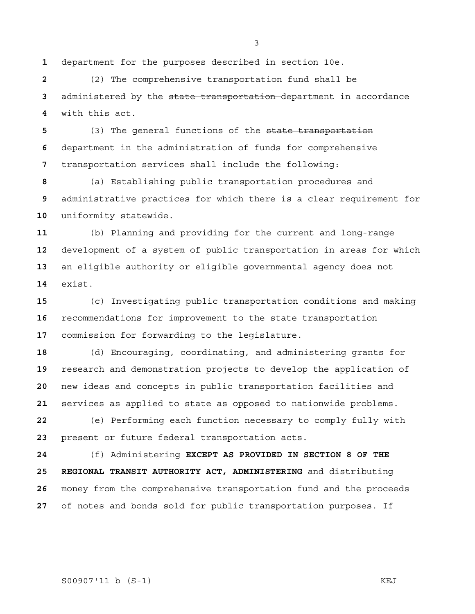department for the purposes described in section 10e.

(2) The comprehensive transportation fund shall be administered by the state transportation department in accordance with this act.

(3) The general functions of the state transportation department in the administration of funds for comprehensive transportation services shall include the following:

(a) Establishing public transportation procedures and administrative practices for which there is a clear requirement for uniformity statewide.

(b) Planning and providing for the current and long-range development of a system of public transportation in areas for which an eligible authority or eligible governmental agency does not exist.

(c) Investigating public transportation conditions and making recommendations for improvement to the state transportation commission for forwarding to the legislature.

(d) Encouraging, coordinating, and administering grants for research and demonstration projects to develop the application of new ideas and concepts in public transportation facilities and services as applied to state as opposed to nationwide problems.

(e) Performing each function necessary to comply fully with present or future federal transportation acts.

(f) Administering **EXCEPT AS PROVIDED IN SECTION 8 OF THE 25 REGIONAL TRANSIT AUTHORITY ACT, ADMINISTERING** and distributing money from the comprehensive transportation fund and the proceeds of notes and bonds sold for public transportation purposes. If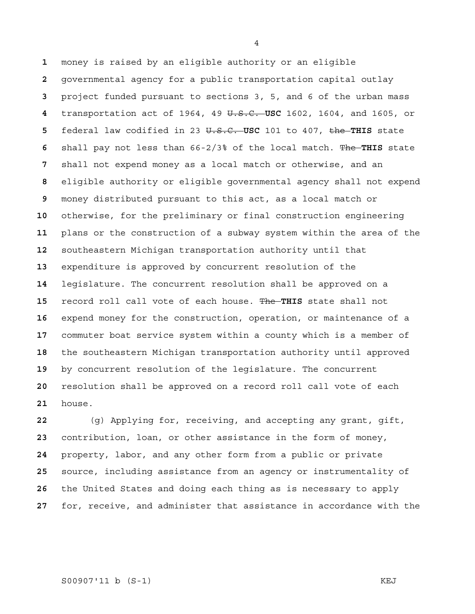money is raised by an eligible authority or an eligible governmental agency for a public transportation capital outlay project funded pursuant to sections 3, 5, and 6 of the urban mass transportation act of 1964, 49 U.S.C. **USC** 1602, 1604, and 1605, or federal law codified in 23 U.S.C. **USC** 101 to 407, the **THIS** state shall pay not less than 66-2/3% of the local match. The **THIS** state shall not expend money as a local match or otherwise, and an eligible authority or eligible governmental agency shall not expend money distributed pursuant to this act, as a local match or otherwise, for the preliminary or final construction engineering plans or the construction of a subway system within the area of the southeastern Michigan transportation authority until that expenditure is approved by concurrent resolution of the legislature. The concurrent resolution shall be approved on a record roll call vote of each house. The **THIS** state shall not expend money for the construction, operation, or maintenance of a commuter boat service system within a county which is a member of the southeastern Michigan transportation authority until approved by concurrent resolution of the legislature. The concurrent resolution shall be approved on a record roll call vote of each house.

(g) Applying for, receiving, and accepting any grant, gift, contribution, loan, or other assistance in the form of money, property, labor, and any other form from a public or private source, including assistance from an agency or instrumentality of the United States and doing each thing as is necessary to apply for, receive, and administer that assistance in accordance with the

S00907'11 b (S-1) KEJ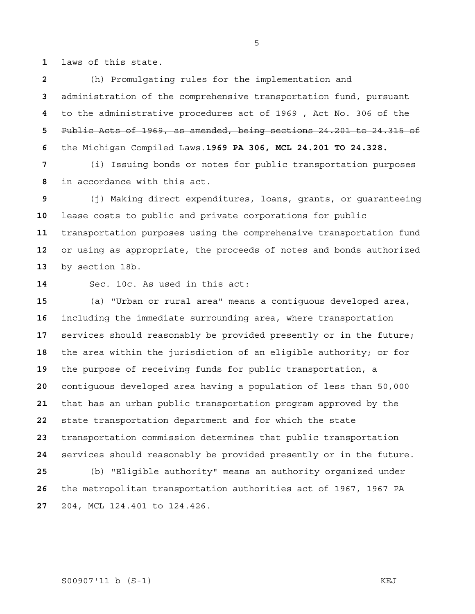laws of this state.

(h) Promulgating rules for the implementation and administration of the comprehensive transportation fund, pursuant to the administrative procedures act of 1969 , Act No. 306 of the Public Acts of 1969, as amended, being sections 24.201 to 24.315 of the Michigan Compiled Laws.**1969 PA 306, MCL 24.201 TO 24.328.**

(i) Issuing bonds or notes for public transportation purposes in accordance with this act.

(j) Making direct expenditures, loans, grants, or guaranteeing lease costs to public and private corporations for public transportation purposes using the comprehensive transportation fund or using as appropriate, the proceeds of notes and bonds authorized by section 18b.

Sec. 10c. As used in this act:

(a) "Urban or rural area" means a contiguous developed area, including the immediate surrounding area, where transportation services should reasonably be provided presently or in the future; the area within the jurisdiction of an eligible authority; or for the purpose of receiving funds for public transportation, a contiguous developed area having a population of less than 50,000 that has an urban public transportation program approved by the state transportation department and for which the state transportation commission determines that public transportation services should reasonably be provided presently or in the future. (b) "Eligible authority" means an authority organized under the metropolitan transportation authorities act of 1967, 1967 PA 204, MCL 124.401 to 124.426.

# S00907'11 b (S-1) KEJ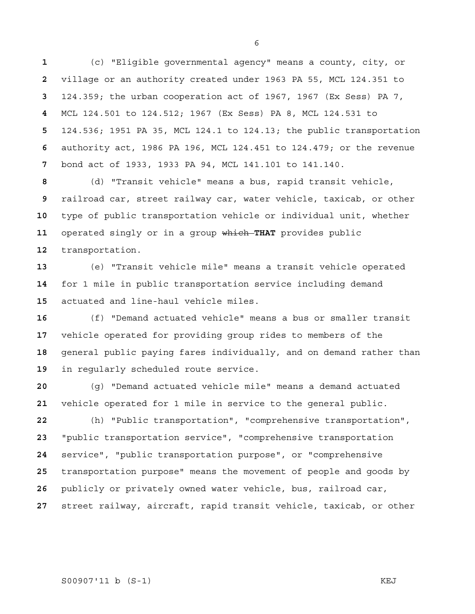(c) "Eligible governmental agency" means a county, city, or village or an authority created under 1963 PA 55, MCL 124.351 to 124.359; the urban cooperation act of 1967, 1967 (Ex Sess) PA 7, MCL 124.501 to 124.512; 1967 (Ex Sess) PA 8, MCL 124.531 to 124.536; 1951 PA 35, MCL 124.1 to 124.13; the public transportation authority act, 1986 PA 196, MCL 124.451 to 124.479; or the revenue bond act of 1933, 1933 PA 94, MCL 141.101 to 141.140.

(d) "Transit vehicle" means a bus, rapid transit vehicle, railroad car, street railway car, water vehicle, taxicab, or other type of public transportation vehicle or individual unit, whether operated singly or in a group which **THAT** provides public transportation.

(e) "Transit vehicle mile" means a transit vehicle operated for 1 mile in public transportation service including demand actuated and line-haul vehicle miles.

(f) "Demand actuated vehicle" means a bus or smaller transit vehicle operated for providing group rides to members of the general public paying fares individually, and on demand rather than in regularly scheduled route service.

(g) "Demand actuated vehicle mile" means a demand actuated vehicle operated for 1 mile in service to the general public.

(h) "Public transportation", "comprehensive transportation", "public transportation service", "comprehensive transportation service", "public transportation purpose", or "comprehensive transportation purpose" means the movement of people and goods by publicly or privately owned water vehicle, bus, railroad car, street railway, aircraft, rapid transit vehicle, taxicab, or other

S00907'11 b (S-1) KEJ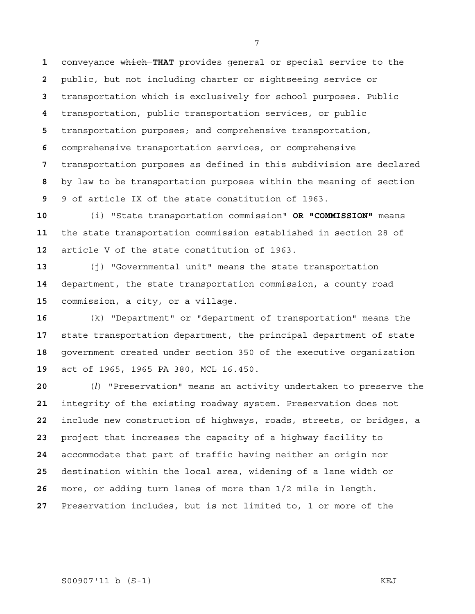conveyance which **THAT** provides general or special service to the public, but not including charter or sightseeing service or transportation which is exclusively for school purposes. Public transportation, public transportation services, or public transportation purposes; and comprehensive transportation, comprehensive transportation services, or comprehensive transportation purposes as defined in this subdivision are declared by law to be transportation purposes within the meaning of section 9 of article IX of the state constitution of 1963.

(i) "State transportation commission" **OR "COMMISSION"** means the state transportation commission established in section 28 of article V of the state constitution of 1963.

(j) "Governmental unit" means the state transportation department, the state transportation commission, a county road commission, a city, or a village.

(k) "Department" or "department of transportation" means the state transportation department, the principal department of state government created under section 350 of the executive organization act of 1965, 1965 PA 380, MCL 16.450.

(*l*) "Preservation" means an activity undertaken to preserve the integrity of the existing roadway system. Preservation does not include new construction of highways, roads, streets, or bridges, a project that increases the capacity of a highway facility to accommodate that part of traffic having neither an origin nor destination within the local area, widening of a lane width or more, or adding turn lanes of more than 1/2 mile in length. Preservation includes, but is not limited to, 1 or more of the

# S00907'11 b (S-1) KEJ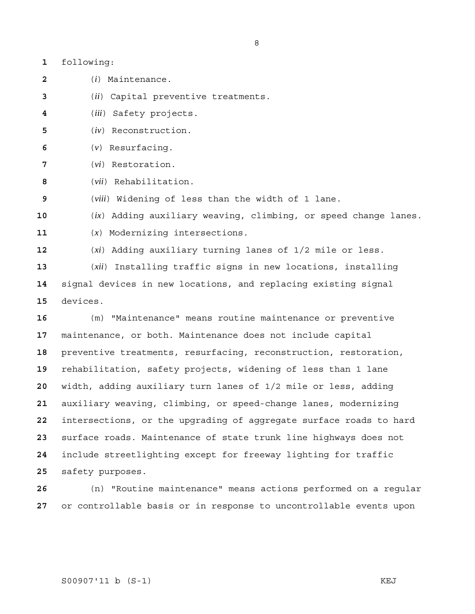| following: |
|------------|
|            |

(*i*) Maintenance.

(*ii*) Capital preventive treatments.

- (*iii*) Safety projects.
- (*iv*) Reconstruction.
- (*v*) Resurfacing.
- (*vi*) Restoration.
- (*vii*) Rehabilitation.

(*viii*) Widening of less than the width of 1 lane.

(*ix*) Adding auxiliary weaving, climbing, or speed change lanes.

(*x*) Modernizing intersections.

(*xi*) Adding auxiliary turning lanes of 1/2 mile or less.

(*xii*) Installing traffic signs in new locations, installing signal devices in new locations, and replacing existing signal devices.

(m) "Maintenance" means routine maintenance or preventive maintenance, or both. Maintenance does not include capital preventive treatments, resurfacing, reconstruction, restoration, rehabilitation, safety projects, widening of less than 1 lane width, adding auxiliary turn lanes of 1/2 mile or less, adding auxiliary weaving, climbing, or speed-change lanes, modernizing intersections, or the upgrading of aggregate surface roads to hard surface roads. Maintenance of state trunk line highways does not include streetlighting except for freeway lighting for traffic safety purposes.

(n) "Routine maintenance" means actions performed on a regular or controllable basis or in response to uncontrollable events upon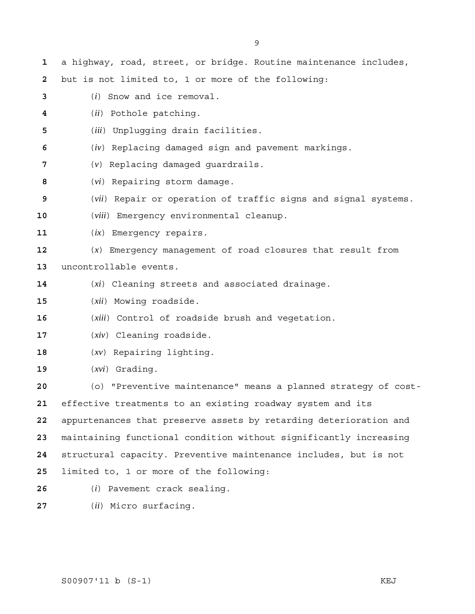a highway, road, street, or bridge. Routine maintenance includes, but is not limited to, 1 or more of the following: (*i*) Snow and ice removal. (*ii*) Pothole patching. (*iii*) Unplugging drain facilities. (*iv*) Replacing damaged sign and pavement markings. (*v*) Replacing damaged guardrails. (*vi*) Repairing storm damage. (*vii*) Repair or operation of traffic signs and signal systems. (*viii*) Emergency environmental cleanup. (*ix*) Emergency repairs. (*x*) Emergency management of road closures that result from uncontrollable events. (*xi*) Cleaning streets and associated drainage. (*xii*) Mowing roadside. (*xiii*) Control of roadside brush and vegetation. (*xiv*) Cleaning roadside. (*xv*) Repairing lighting. (*xvi*) Grading. (o) "Preventive maintenance" means a planned strategy of cost-effective treatments to an existing roadway system and its appurtenances that preserve assets by retarding deterioration and maintaining functional condition without significantly increasing structural capacity. Preventive maintenance includes, but is not limited to, 1 or more of the following: (*i*) Pavement crack sealing.

(*ii*) Micro surfacing.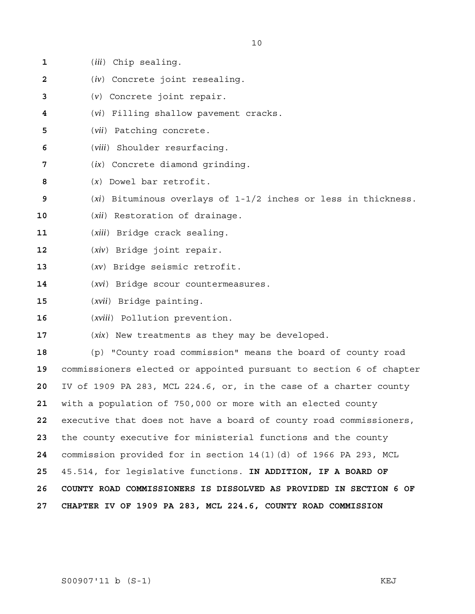| 1            | (iii) Chip sealing.                                                 |
|--------------|---------------------------------------------------------------------|
| $\mathbf{2}$ | $(iv)$ Concrete joint resealing.                                    |
| 3            | $(v)$ Concrete joint repair.                                        |
| 4            | (vi) Filling shallow pavement cracks.                               |
| 5            | (vii) Patching concrete.                                            |
| 6            | (viii) Shoulder resurfacing.                                        |
| 7            | $(ix)$ Concrete diamond grinding.                                   |
| 8            | $(x)$ Dowel bar retrofit.                                           |
| 9            | $(xi)$ Bituminous overlays of 1-1/2 inches or less in thickness.    |
| 10           | (xii) Restoration of drainage.                                      |
| 11           | (xiii) Bridge crack sealing.                                        |
| 12           | $(xiv)$ Bridge joint repair.                                        |
| 13           | $(xv)$ Bridge seismic retrofit.                                     |
| 14           | (xvi) Bridge scour countermeasures.                                 |
| 15           | $(xvii)$ Bridge painting.                                           |
| 16           | (xviii) Pollution prevention.                                       |
| 17           | $(xix)$ New treatments as they may be developed.                    |
| 18           | "County road commission" means the board of county road<br>(p)      |
| 19           | commissioners elected or appointed pursuant to section 6 of chapter |
| 20           | IV of 1909 PA 283, MCL 224.6, or, in the case of a charter county   |
| 21           | with a population of 750,000 or more with an elected county         |
| 22           | executive that does not have a board of county road commissioners,  |
| 23           | the county executive for ministerial functions and the county       |
| 24           | commission provided for in section 14(1)(d) of 1966 PA 293, MCL     |
| 25           | 45.514, for legislative functions. IN ADDITION, IF A BOARD OF       |
| 26           | COUNTY ROAD COMMISSIONERS IS DISSOLVED AS PROVIDED IN SECTION 6 OF  |
| 27           | CHAPTER IV OF 1909 PA 283, MCL 224.6, COUNTY ROAD COMMISSION        |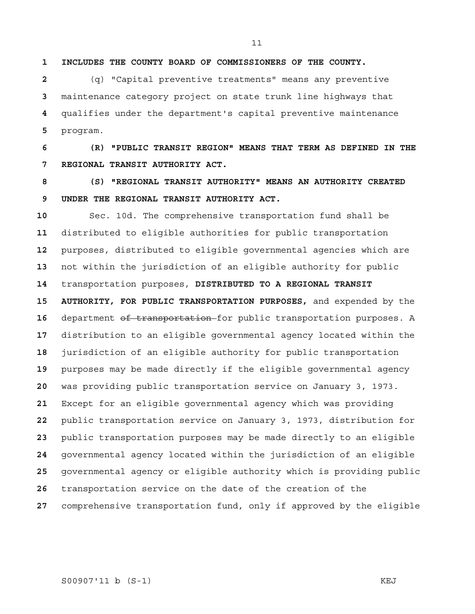**1 INCLUDES THE COUNTY BOARD OF COMMISSIONERS OF THE COUNTY.** 

(q) "Capital preventive treatments" means any preventive maintenance category project on state trunk line highways that qualifies under the department's capital preventive maintenance program.

**6 (R) "PUBLIC TRANSIT REGION" MEANS THAT TERM AS DEFINED IN THE 7 REGIONAL TRANSIT AUTHORITY ACT.** 

**8 (S) "REGIONAL TRANSIT AUTHORITY" MEANS AN AUTHORITY CREATED 9 UNDER THE REGIONAL TRANSIT AUTHORITY ACT.** 

Sec. 10d. The comprehensive transportation fund shall be distributed to eligible authorities for public transportation purposes, distributed to eligible governmental agencies which are not within the jurisdiction of an eligible authority for public transportation purposes, **DISTRIBUTED TO A REGIONAL TRANSIT 15 AUTHORITY, FOR PUBLIC TRANSPORTATION PURPOSES,** and expended by the department of transportation for public transportation purposes. A distribution to an eligible governmental agency located within the jurisdiction of an eligible authority for public transportation purposes may be made directly if the eligible governmental agency was providing public transportation service on January 3, 1973. Except for an eligible governmental agency which was providing public transportation service on January 3, 1973, distribution for public transportation purposes may be made directly to an eligible governmental agency located within the jurisdiction of an eligible governmental agency or eligible authority which is providing public transportation service on the date of the creation of the comprehensive transportation fund, only if approved by the eligible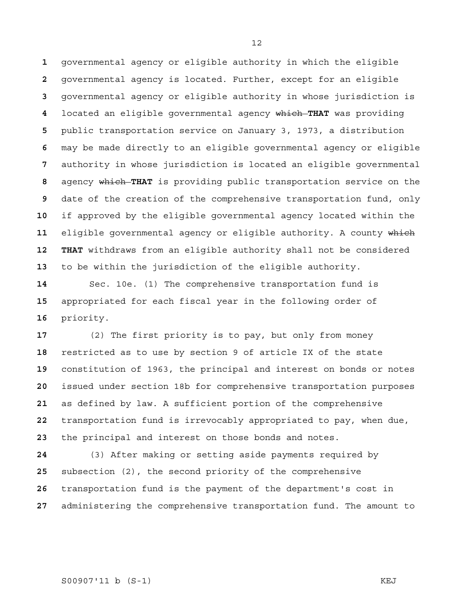governmental agency or eligible authority in which the eligible governmental agency is located. Further, except for an eligible governmental agency or eligible authority in whose jurisdiction is located an eligible governmental agency which **THAT** was providing public transportation service on January 3, 1973, a distribution may be made directly to an eligible governmental agency or eligible authority in whose jurisdiction is located an eligible governmental agency which **THAT** is providing public transportation service on the date of the creation of the comprehensive transportation fund, only if approved by the eligible governmental agency located within the eligible governmental agency or eligible authority. A county which **12 THAT** withdraws from an eligible authority shall not be considered to be within the jurisdiction of the eligible authority.

Sec. 10e. (1) The comprehensive transportation fund is appropriated for each fiscal year in the following order of priority.

(2) The first priority is to pay, but only from money restricted as to use by section 9 of article IX of the state constitution of 1963, the principal and interest on bonds or notes issued under section 18b for comprehensive transportation purposes as defined by law. A sufficient portion of the comprehensive transportation fund is irrevocably appropriated to pay, when due, the principal and interest on those bonds and notes.

(3) After making or setting aside payments required by subsection (2), the second priority of the comprehensive transportation fund is the payment of the department's cost in administering the comprehensive transportation fund. The amount to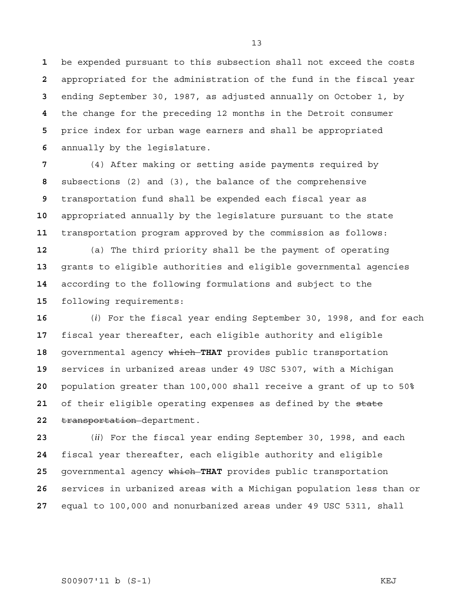be expended pursuant to this subsection shall not exceed the costs appropriated for the administration of the fund in the fiscal year ending September 30, 1987, as adjusted annually on October 1, by the change for the preceding 12 months in the Detroit consumer price index for urban wage earners and shall be appropriated annually by the legislature.

(4) After making or setting aside payments required by subsections (2) and (3), the balance of the comprehensive transportation fund shall be expended each fiscal year as appropriated annually by the legislature pursuant to the state transportation program approved by the commission as follows:

(a) The third priority shall be the payment of operating grants to eligible authorities and eligible governmental agencies according to the following formulations and subject to the following requirements:

(*i*) For the fiscal year ending September 30, 1998, and for each fiscal year thereafter, each eligible authority and eligible governmental agency which **THAT** provides public transportation services in urbanized areas under 49 USC 5307, with a Michigan population greater than 100,000 shall receive a grant of up to 50% of their eligible operating expenses as defined by the state transportation department.

(*ii*) For the fiscal year ending September 30, 1998, and each fiscal year thereafter, each eligible authority and eligible governmental agency which **THAT** provides public transportation services in urbanized areas with a Michigan population less than or equal to 100,000 and nonurbanized areas under 49 USC 5311, shall

S00907'11 b (S-1) KEJ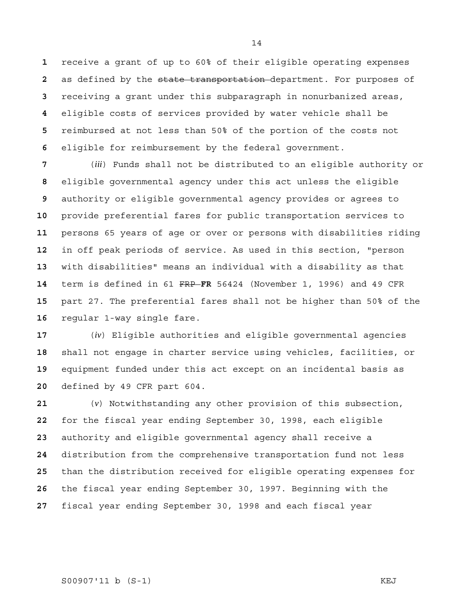receive a grant of up to 60% of their eligible operating expenses as defined by the state transportation department. For purposes of receiving a grant under this subparagraph in nonurbanized areas, eligible costs of services provided by water vehicle shall be reimbursed at not less than 50% of the portion of the costs not eligible for reimbursement by the federal government.

(*iii*) Funds shall not be distributed to an eligible authority or eligible governmental agency under this act unless the eligible authority or eligible governmental agency provides or agrees to provide preferential fares for public transportation services to persons 65 years of age or over or persons with disabilities riding in off peak periods of service. As used in this section, "person with disabilities" means an individual with a disability as that term is defined in 61 FRP **FR** 56424 (November 1, 1996) and 49 CFR part 27. The preferential fares shall not be higher than 50% of the regular 1-way single fare.

(*iv*) Eligible authorities and eligible governmental agencies shall not engage in charter service using vehicles, facilities, or equipment funded under this act except on an incidental basis as defined by 49 CFR part 604.

(*v*) Notwithstanding any other provision of this subsection, for the fiscal year ending September 30, 1998, each eligible authority and eligible governmental agency shall receive a distribution from the comprehensive transportation fund not less than the distribution received for eligible operating expenses for the fiscal year ending September 30, 1997. Beginning with the fiscal year ending September 30, 1998 and each fiscal year

S00907'11 b (S-1) KEJ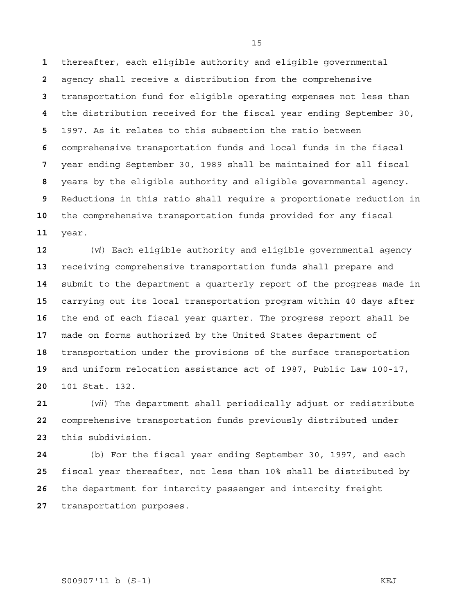thereafter, each eligible authority and eligible governmental agency shall receive a distribution from the comprehensive transportation fund for eligible operating expenses not less than the distribution received for the fiscal year ending September 30, 1997. As it relates to this subsection the ratio between comprehensive transportation funds and local funds in the fiscal year ending September 30, 1989 shall be maintained for all fiscal years by the eligible authority and eligible governmental agency. Reductions in this ratio shall require a proportionate reduction in the comprehensive transportation funds provided for any fiscal year.

(*vi*) Each eligible authority and eligible governmental agency receiving comprehensive transportation funds shall prepare and submit to the department a quarterly report of the progress made in carrying out its local transportation program within 40 days after the end of each fiscal year quarter. The progress report shall be made on forms authorized by the United States department of transportation under the provisions of the surface transportation and uniform relocation assistance act of 1987, Public Law 100-17, 101 Stat. 132.

(*vii*) The department shall periodically adjust or redistribute comprehensive transportation funds previously distributed under this subdivision.

(b) For the fiscal year ending September 30, 1997, and each fiscal year thereafter, not less than 10% shall be distributed by the department for intercity passenger and intercity freight transportation purposes.

### S00907'11 b (S-1) KEJ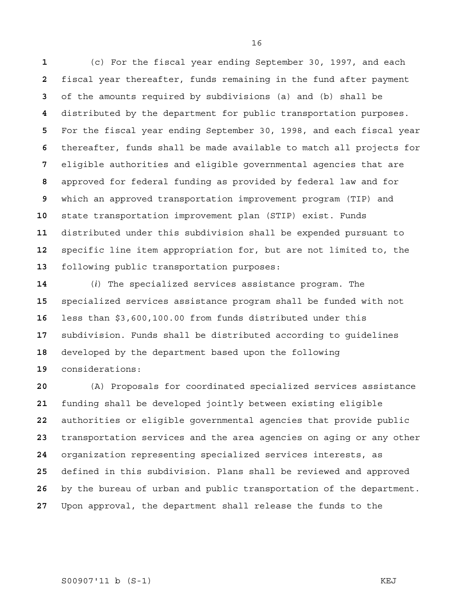(c) For the fiscal year ending September 30, 1997, and each fiscal year thereafter, funds remaining in the fund after payment of the amounts required by subdivisions (a) and (b) shall be distributed by the department for public transportation purposes. For the fiscal year ending September 30, 1998, and each fiscal year thereafter, funds shall be made available to match all projects for eligible authorities and eligible governmental agencies that are approved for federal funding as provided by federal law and for which an approved transportation improvement program (TIP) and state transportation improvement plan (STIP) exist. Funds distributed under this subdivision shall be expended pursuant to specific line item appropriation for, but are not limited to, the following public transportation purposes:

(*i*) The specialized services assistance program. The specialized services assistance program shall be funded with not less than \$3,600,100.00 from funds distributed under this subdivision. Funds shall be distributed according to guidelines developed by the department based upon the following considerations:

(A) Proposals for coordinated specialized services assistance funding shall be developed jointly between existing eligible authorities or eligible governmental agencies that provide public transportation services and the area agencies on aging or any other organization representing specialized services interests, as defined in this subdivision. Plans shall be reviewed and approved by the bureau of urban and public transportation of the department. Upon approval, the department shall release the funds to the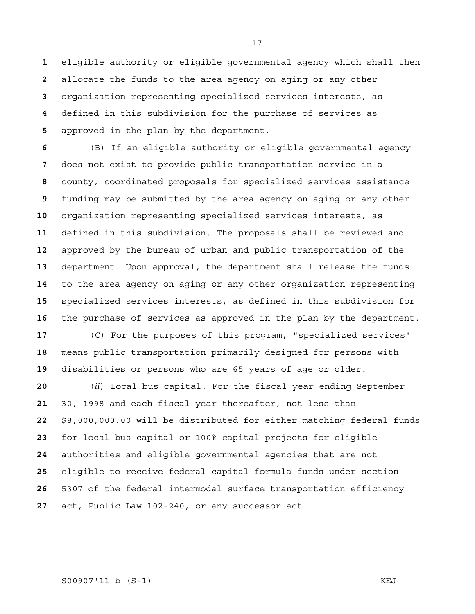eligible authority or eligible governmental agency which shall then allocate the funds to the area agency on aging or any other organization representing specialized services interests, as defined in this subdivision for the purchase of services as approved in the plan by the department.

(B) If an eligible authority or eligible governmental agency does not exist to provide public transportation service in a county, coordinated proposals for specialized services assistance funding may be submitted by the area agency on aging or any other organization representing specialized services interests, as defined in this subdivision. The proposals shall be reviewed and approved by the bureau of urban and public transportation of the department. Upon approval, the department shall release the funds to the area agency on aging or any other organization representing specialized services interests, as defined in this subdivision for the purchase of services as approved in the plan by the department. (C) For the purposes of this program, "specialized services"

means public transportation primarily designed for persons with disabilities or persons who are 65 years of age or older.

(*ii*) Local bus capital. For the fiscal year ending September 30, 1998 and each fiscal year thereafter, not less than \$8,000,000.00 will be distributed for either matching federal funds for local bus capital or 100% capital projects for eligible authorities and eligible governmental agencies that are not eligible to receive federal capital formula funds under section 5307 of the federal intermodal surface transportation efficiency act, Public Law 102-240, or any successor act.

# S00907'11 b (S-1) KEJ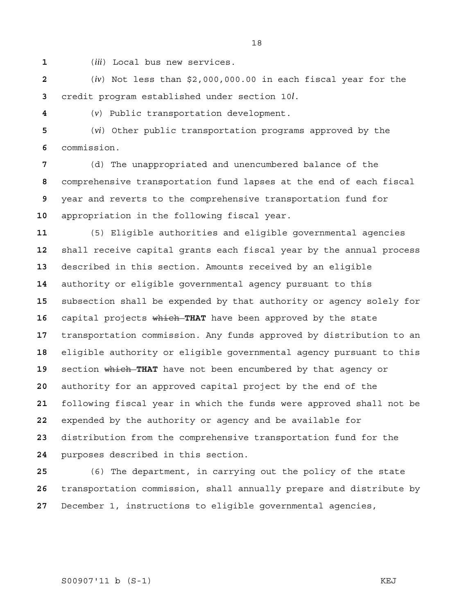(*iii*) Local bus new services.

(*iv*) Not less than \$2,000,000.00 in each fiscal year for the credit program established under section 10*l*.

(*v*) Public transportation development.

(*vi*) Other public transportation programs approved by the commission.

(d) The unappropriated and unencumbered balance of the comprehensive transportation fund lapses at the end of each fiscal year and reverts to the comprehensive transportation fund for appropriation in the following fiscal year.

(5) Eligible authorities and eligible governmental agencies shall receive capital grants each fiscal year by the annual process described in this section. Amounts received by an eligible authority or eligible governmental agency pursuant to this subsection shall be expended by that authority or agency solely for capital projects which **THAT** have been approved by the state transportation commission. Any funds approved by distribution to an eligible authority or eligible governmental agency pursuant to this 19 section which THAT have not been encumbered by that agency or authority for an approved capital project by the end of the following fiscal year in which the funds were approved shall not be expended by the authority or agency and be available for distribution from the comprehensive transportation fund for the purposes described in this section.

(6) The department, in carrying out the policy of the state transportation commission, shall annually prepare and distribute by December 1, instructions to eligible governmental agencies,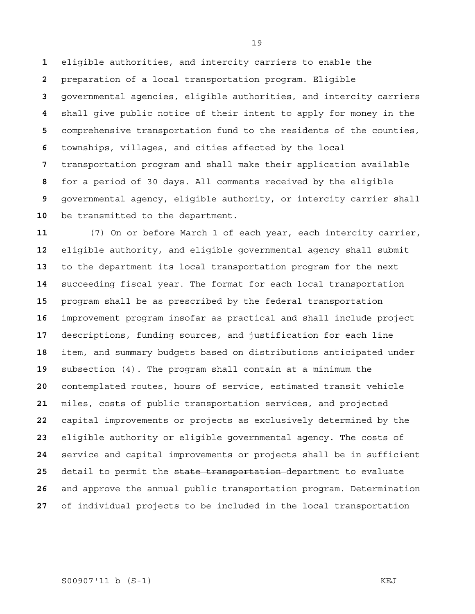eligible authorities, and intercity carriers to enable the preparation of a local transportation program. Eligible governmental agencies, eligible authorities, and intercity carriers shall give public notice of their intent to apply for money in the comprehensive transportation fund to the residents of the counties, townships, villages, and cities affected by the local transportation program and shall make their application available for a period of 30 days. All comments received by the eligible governmental agency, eligible authority, or intercity carrier shall be transmitted to the department.

(7) On or before March 1 of each year, each intercity carrier, eligible authority, and eligible governmental agency shall submit to the department its local transportation program for the next succeeding fiscal year. The format for each local transportation program shall be as prescribed by the federal transportation improvement program insofar as practical and shall include project descriptions, funding sources, and justification for each line item, and summary budgets based on distributions anticipated under subsection (4). The program shall contain at a minimum the contemplated routes, hours of service, estimated transit vehicle miles, costs of public transportation services, and projected capital improvements or projects as exclusively determined by the eligible authority or eligible governmental agency. The costs of service and capital improvements or projects shall be in sufficient detail to permit the state transportation department to evaluate and approve the annual public transportation program. Determination of individual projects to be included in the local transportation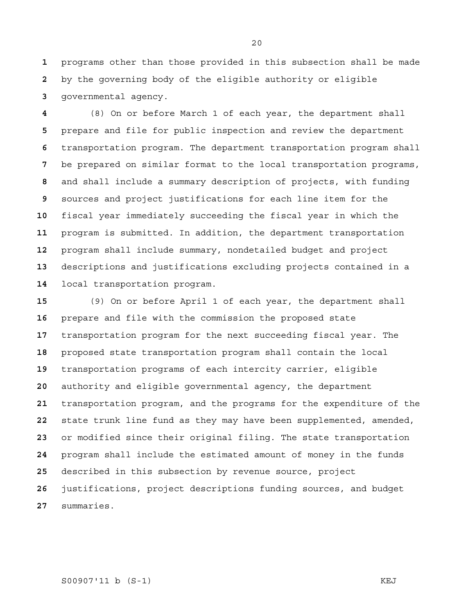programs other than those provided in this subsection shall be made by the governing body of the eligible authority or eligible governmental agency.

(8) On or before March 1 of each year, the department shall prepare and file for public inspection and review the department transportation program. The department transportation program shall be prepared on similar format to the local transportation programs, and shall include a summary description of projects, with funding sources and project justifications for each line item for the fiscal year immediately succeeding the fiscal year in which the program is submitted. In addition, the department transportation program shall include summary, nondetailed budget and project descriptions and justifications excluding projects contained in a local transportation program.

(9) On or before April 1 of each year, the department shall prepare and file with the commission the proposed state transportation program for the next succeeding fiscal year. The proposed state transportation program shall contain the local transportation programs of each intercity carrier, eligible authority and eligible governmental agency, the department transportation program, and the programs for the expenditure of the state trunk line fund as they may have been supplemented, amended, or modified since their original filing. The state transportation program shall include the estimated amount of money in the funds described in this subsection by revenue source, project justifications, project descriptions funding sources, and budget summaries.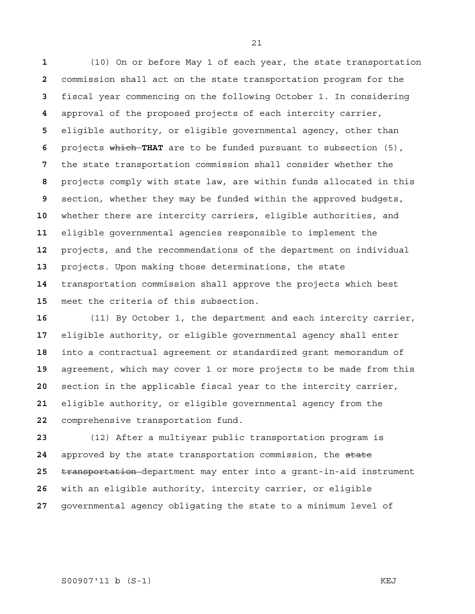(10) On or before May 1 of each year, the state transportation commission shall act on the state transportation program for the fiscal year commencing on the following October 1. In considering approval of the proposed projects of each intercity carrier, eligible authority, or eligible governmental agency, other than projects which **THAT** are to be funded pursuant to subsection (5), the state transportation commission shall consider whether the projects comply with state law, are within funds allocated in this section, whether they may be funded within the approved budgets, whether there are intercity carriers, eligible authorities, and eligible governmental agencies responsible to implement the projects, and the recommendations of the department on individual projects. Upon making those determinations, the state transportation commission shall approve the projects which best meet the criteria of this subsection.

(11) By October 1, the department and each intercity carrier, eligible authority, or eligible governmental agency shall enter into a contractual agreement or standardized grant memorandum of agreement, which may cover 1 or more projects to be made from this section in the applicable fiscal year to the intercity carrier, eligible authority, or eligible governmental agency from the comprehensive transportation fund.

(12) After a multiyear public transportation program is approved by the state transportation commission, the state transportation department may enter into a grant-in-aid instrument with an eligible authority, intercity carrier, or eligible governmental agency obligating the state to a minimum level of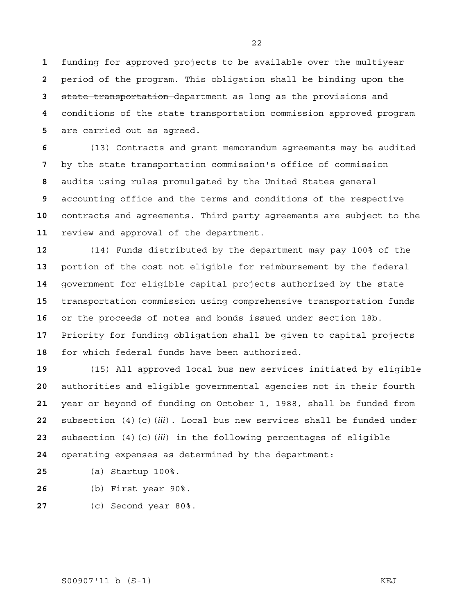funding for approved projects to be available over the multiyear period of the program. This obligation shall be binding upon the state transportation department as long as the provisions and conditions of the state transportation commission approved program are carried out as agreed.

(13) Contracts and grant memorandum agreements may be audited by the state transportation commission's office of commission audits using rules promulgated by the United States general accounting office and the terms and conditions of the respective contracts and agreements. Third party agreements are subject to the review and approval of the department.

(14) Funds distributed by the department may pay 100% of the portion of the cost not eligible for reimbursement by the federal government for eligible capital projects authorized by the state transportation commission using comprehensive transportation funds or the proceeds of notes and bonds issued under section 18b. Priority for funding obligation shall be given to capital projects for which federal funds have been authorized.

(15) All approved local bus new services initiated by eligible authorities and eligible governmental agencies not in their fourth year or beyond of funding on October 1, 1988, shall be funded from subsection (4)(c)(*iii*). Local bus new services shall be funded under subsection (4)(c)(*iii*) in the following percentages of eligible operating expenses as determined by the department:

- (a) Startup 100%.
- (b) First year 90%.
- (c) Second year 80%.

S00907'11 b (S-1) KEJ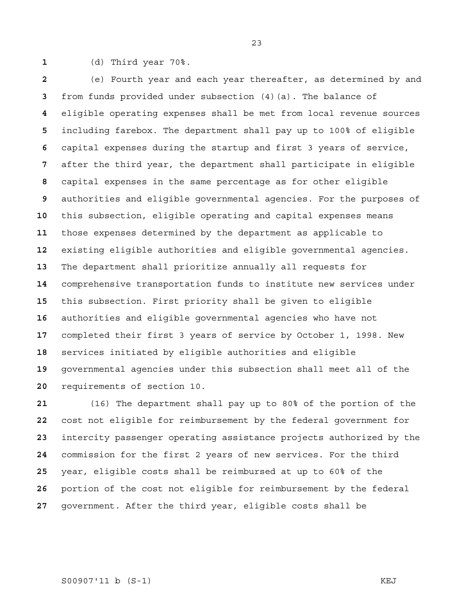(d) Third year 70%.

(e) Fourth year and each year thereafter, as determined by and from funds provided under subsection (4)(a). The balance of eligible operating expenses shall be met from local revenue sources including farebox. The department shall pay up to 100% of eligible capital expenses during the startup and first 3 years of service, after the third year, the department shall participate in eligible capital expenses in the same percentage as for other eligible authorities and eligible governmental agencies. For the purposes of this subsection, eligible operating and capital expenses means those expenses determined by the department as applicable to existing eligible authorities and eligible governmental agencies. The department shall prioritize annually all requests for comprehensive transportation funds to institute new services under this subsection. First priority shall be given to eligible authorities and eligible governmental agencies who have not completed their first 3 years of service by October 1, 1998. New services initiated by eligible authorities and eligible governmental agencies under this subsection shall meet all of the requirements of section 10.

(16) The department shall pay up to 80% of the portion of the cost not eligible for reimbursement by the federal government for intercity passenger operating assistance projects authorized by the commission for the first 2 years of new services. For the third year, eligible costs shall be reimbursed at up to 60% of the portion of the cost not eligible for reimbursement by the federal government. After the third year, eligible costs shall be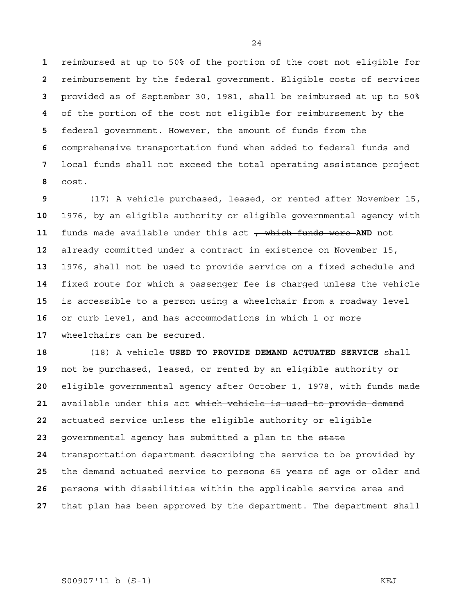reimbursed at up to 50% of the portion of the cost not eligible for reimbursement by the federal government. Eligible costs of services provided as of September 30, 1981, shall be reimbursed at up to 50% of the portion of the cost not eligible for reimbursement by the federal government. However, the amount of funds from the comprehensive transportation fund when added to federal funds and local funds shall not exceed the total operating assistance project cost.

(17) A vehicle purchased, leased, or rented after November 15, 1976, by an eligible authority or eligible governmental agency with **funds made available under this act** , which funds were AND not already committed under a contract in existence on November 15, 1976, shall not be used to provide service on a fixed schedule and fixed route for which a passenger fee is charged unless the vehicle is accessible to a person using a wheelchair from a roadway level or curb level, and has accommodations in which 1 or more wheelchairs can be secured.

(18) A vehicle **USED TO PROVIDE DEMAND ACTUATED SERVICE** shall not be purchased, leased, or rented by an eligible authority or eligible governmental agency after October 1, 1978, with funds made available under this act which vehicle is used to provide demand actuated service unless the eligible authority or eligible governmental agency has submitted a plan to the state transportation department describing the service to be provided by the demand actuated service to persons 65 years of age or older and persons with disabilities within the applicable service area and that plan has been approved by the department. The department shall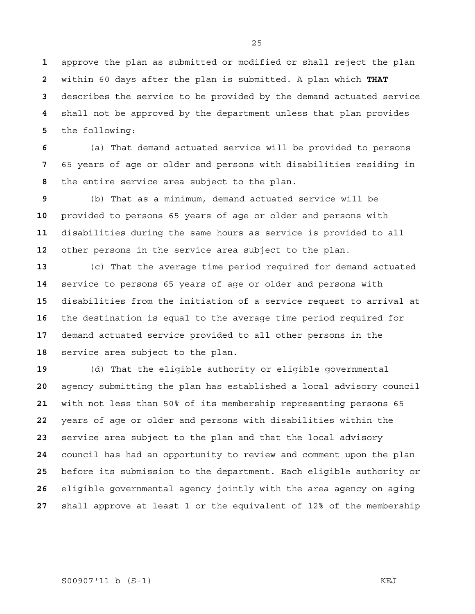approve the plan as submitted or modified or shall reject the plan within 60 days after the plan is submitted. A plan which **THAT**  describes the service to be provided by the demand actuated service shall not be approved by the department unless that plan provides the following:

(a) That demand actuated service will be provided to persons 65 years of age or older and persons with disabilities residing in the entire service area subject to the plan.

(b) That as a minimum, demand actuated service will be provided to persons 65 years of age or older and persons with disabilities during the same hours as service is provided to all other persons in the service area subject to the plan.

(c) That the average time period required for demand actuated service to persons 65 years of age or older and persons with disabilities from the initiation of a service request to arrival at the destination is equal to the average time period required for demand actuated service provided to all other persons in the service area subject to the plan.

(d) That the eligible authority or eligible governmental agency submitting the plan has established a local advisory council with not less than 50% of its membership representing persons 65 years of age or older and persons with disabilities within the service area subject to the plan and that the local advisory council has had an opportunity to review and comment upon the plan before its submission to the department. Each eligible authority or eligible governmental agency jointly with the area agency on aging shall approve at least 1 or the equivalent of 12% of the membership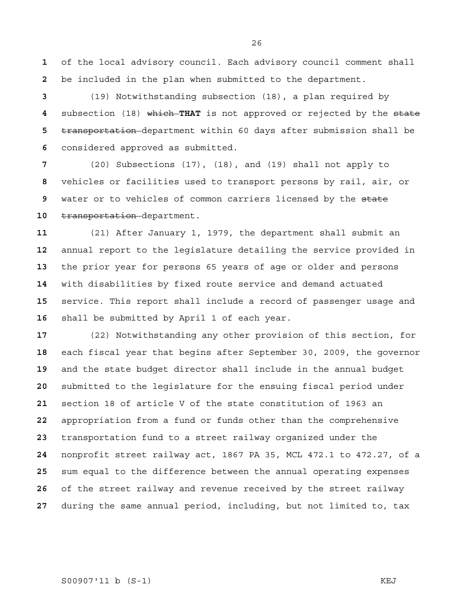of the local advisory council. Each advisory council comment shall be included in the plan when submitted to the department.

(19) Notwithstanding subsection (18), a plan required by subsection (18) which **THAT** is not approved or rejected by the state transportation department within 60 days after submission shall be considered approved as submitted.

(20) Subsections (17), (18), and (19) shall not apply to vehicles or facilities used to transport persons by rail, air, or water or to vehicles of common carriers licensed by the state **transportation**-department.

(21) After January 1, 1979, the department shall submit an annual report to the legislature detailing the service provided in the prior year for persons 65 years of age or older and persons with disabilities by fixed route service and demand actuated service. This report shall include a record of passenger usage and shall be submitted by April 1 of each year.

(22) Notwithstanding any other provision of this section, for each fiscal year that begins after September 30, 2009, the governor and the state budget director shall include in the annual budget submitted to the legislature for the ensuing fiscal period under section 18 of article V of the state constitution of 1963 an appropriation from a fund or funds other than the comprehensive transportation fund to a street railway organized under the nonprofit street railway act, 1867 PA 35, MCL 472.1 to 472.27, of a sum equal to the difference between the annual operating expenses of the street railway and revenue received by the street railway during the same annual period, including, but not limited to, tax

# S00907'11 b (S-1) KEJ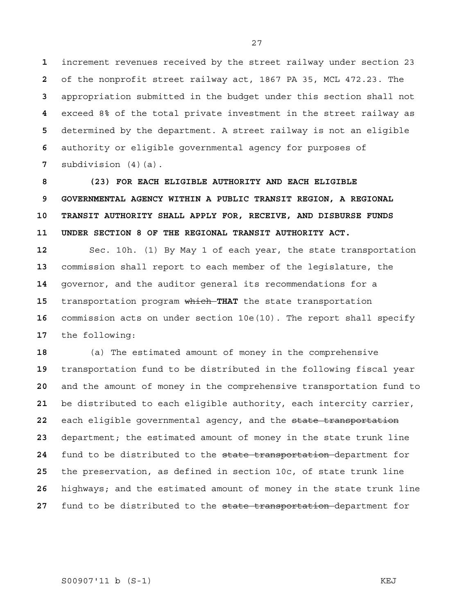increment revenues received by the street railway under section 23 of the nonprofit street railway act, 1867 PA 35, MCL 472.23. The appropriation submitted in the budget under this section shall not exceed 8% of the total private investment in the street railway as determined by the department. A street railway is not an eligible authority or eligible governmental agency for purposes of subdivision (4)(a).

**8 (23) FOR EACH ELIGIBLE AUTHORITY AND EACH ELIGIBLE 9 GOVERNMENTAL AGENCY WITHIN A PUBLIC TRANSIT REGION, A REGIONAL 10 TRANSIT AUTHORITY SHALL APPLY FOR, RECEIVE, AND DISBURSE FUNDS 11 UNDER SECTION 8 OF THE REGIONAL TRANSIT AUTHORITY ACT.** 

Sec. 10h. (1) By May 1 of each year, the state transportation commission shall report to each member of the legislature, the governor, and the auditor general its recommendations for a transportation program which **THAT** the state transportation commission acts on under section 10e(10). The report shall specify the following:

(a) The estimated amount of money in the comprehensive transportation fund to be distributed in the following fiscal year and the amount of money in the comprehensive transportation fund to be distributed to each eligible authority, each intercity carrier, each eligible governmental agency, and the state transportation department; the estimated amount of money in the state trunk line fund to be distributed to the state transportation department for the preservation, as defined in section 10c, of state trunk line highways; and the estimated amount of money in the state trunk line fund to be distributed to the state transportation department for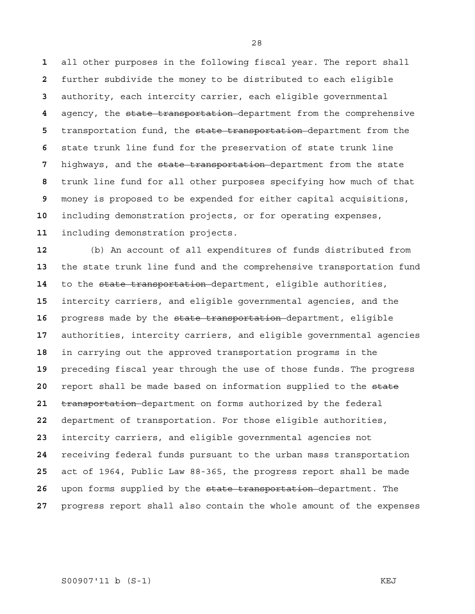all other purposes in the following fiscal year. The report shall further subdivide the money to be distributed to each eligible authority, each intercity carrier, each eligible governmental agency, the state transportation department from the comprehensive transportation fund, the state transportation department from the state trunk line fund for the preservation of state trunk line highways, and the state transportation department from the state trunk line fund for all other purposes specifying how much of that money is proposed to be expended for either capital acquisitions, including demonstration projects, or for operating expenses, including demonstration projects.

(b) An account of all expenditures of funds distributed from the state trunk line fund and the comprehensive transportation fund to the state transportation department, eligible authorities, intercity carriers, and eligible governmental agencies, and the progress made by the state transportation department, eligible authorities, intercity carriers, and eligible governmental agencies in carrying out the approved transportation programs in the preceding fiscal year through the use of those funds. The progress report shall be made based on information supplied to the state transportation department on forms authorized by the federal department of transportation. For those eligible authorities, intercity carriers, and eligible governmental agencies not receiving federal funds pursuant to the urban mass transportation act of 1964, Public Law 88-365, the progress report shall be made upon forms supplied by the state transportation department. The progress report shall also contain the whole amount of the expenses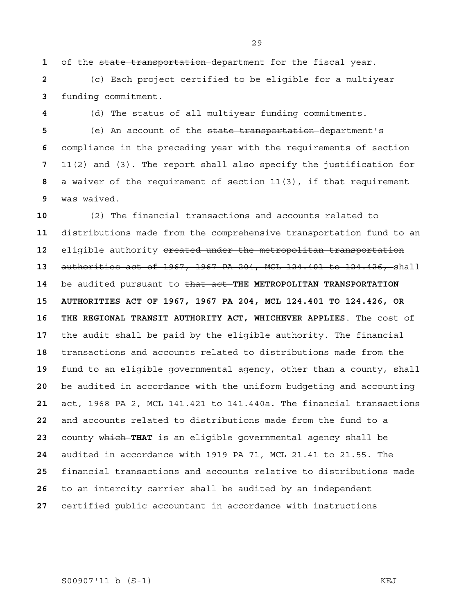of the state transportation department for the fiscal year.

(c) Each project certified to be eligible for a multiyear funding commitment.

(d) The status of all multiyear funding commitments. (e) An account of the state transportation department's compliance in the preceding year with the requirements of section

11(2) and (3). The report shall also specify the justification for a waiver of the requirement of section 11(3), if that requirement was waived.

(2) The financial transactions and accounts related to distributions made from the comprehensive transportation fund to an eligible authority created under the metropolitan transportation authorities act of 1967, 1967 PA 204, MCL 124.401 to 124.426, shall be audited pursuant to that act **THE METROPOLITAN TRANSPORTATION 15 AUTHORITIES ACT OF 1967, 1967 PA 204, MCL 124.401 TO 124.426, OR 16 THE REGIONAL TRANSIT AUTHORITY ACT, WHICHEVER APPLIES**. The cost of the audit shall be paid by the eligible authority. The financial transactions and accounts related to distributions made from the fund to an eligible governmental agency, other than a county, shall be audited in accordance with the uniform budgeting and accounting act, 1968 PA 2, MCL 141.421 to 141.440a. The financial transactions and accounts related to distributions made from the fund to a county which **THAT** is an eligible governmental agency shall be audited in accordance with 1919 PA 71, MCL 21.41 to 21.55. The financial transactions and accounts relative to distributions made to an intercity carrier shall be audited by an independent certified public accountant in accordance with instructions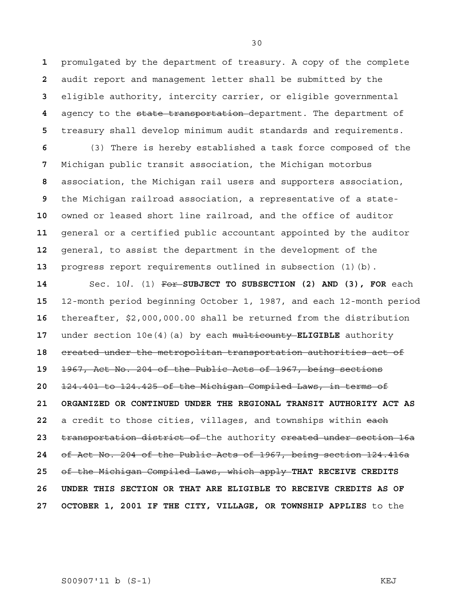promulgated by the department of treasury. A copy of the complete audit report and management letter shall be submitted by the eligible authority, intercity carrier, or eligible governmental agency to the state transportation department. The department of treasury shall develop minimum audit standards and requirements.

(3) There is hereby established a task force composed of the Michigan public transit association, the Michigan motorbus association, the Michigan rail users and supporters association, the Michigan railroad association, a representative of a state-owned or leased short line railroad, and the office of auditor general or a certified public accountant appointed by the auditor general, to assist the department in the development of the progress report requirements outlined in subsection (1)(b).

Sec. 10*l*. (1) For **SUBJECT TO SUBSECTION (2) AND (3), FOR** each 12-month period beginning October 1, 1987, and each 12-month period thereafter, \$2,000,000.00 shall be returned from the distribution under section 10e(4)(a) by each multicounty **ELIGIBLE** authority created under the metropolitan transportation authorities act of 1967, Act No. 204 of the Public Acts of 1967, being sections 124.401 to 124.425 of the Michigan Compiled Laws, in terms of **21 ORGANIZED OR CONTINUED UNDER THE REGIONAL TRANSIT AUTHORITY ACT AS**  a credit to those cities, villages, and townships within each transportation district of the authority created under section 16a of Act No. 204 of the Public Acts of 1967, being section 124.416a of the Michigan Compiled Laws, which apply **THAT RECEIVE CREDITS 26 UNDER THIS SECTION OR THAT ARE ELIGIBLE TO RECEIVE CREDITS AS OF 27 OCTOBER 1, 2001 IF THE CITY, VILLAGE, OR TOWNSHIP APPLIES** to the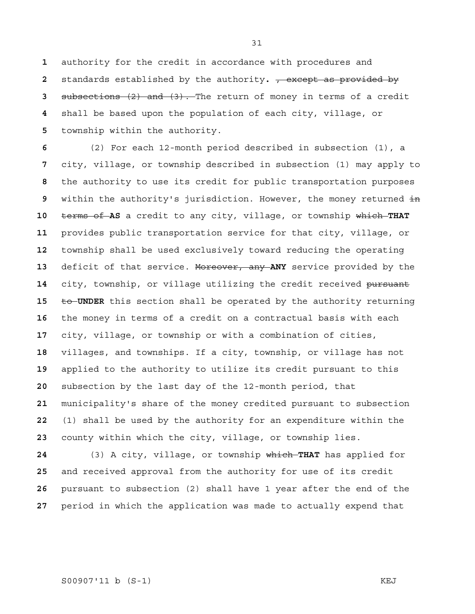authority for the credit in accordance with procedures and standards established by the authority**.** , except as provided by subsections (2) and (3). The return of money in terms of a credit shall be based upon the population of each city, village, or township within the authority.

(2) For each 12-month period described in subsection (1), a city, village, or township described in subsection (1) may apply to the authority to use its credit for public transportation purposes within the authority's jurisdiction. However, the money returned in terms of **AS** a credit to any city, village, or township which **THAT**  provides public transportation service for that city, village, or township shall be used exclusively toward reducing the operating deficit of that service. Moreover, any **ANY** service provided by the 14 city, township, or village utilizing the credit received pursuant **to UNDER** this section shall be operated by the authority returning the money in terms of a credit on a contractual basis with each city, village, or township or with a combination of cities, villages, and townships. If a city, township, or village has not applied to the authority to utilize its credit pursuant to this subsection by the last day of the 12-month period, that municipality's share of the money credited pursuant to subsection (1) shall be used by the authority for an expenditure within the county within which the city, village, or township lies.

(3) A city, village, or township which **THAT** has applied for and received approval from the authority for use of its credit pursuant to subsection (2) shall have 1 year after the end of the period in which the application was made to actually expend that

### S00907'11 b (S-1) KEJ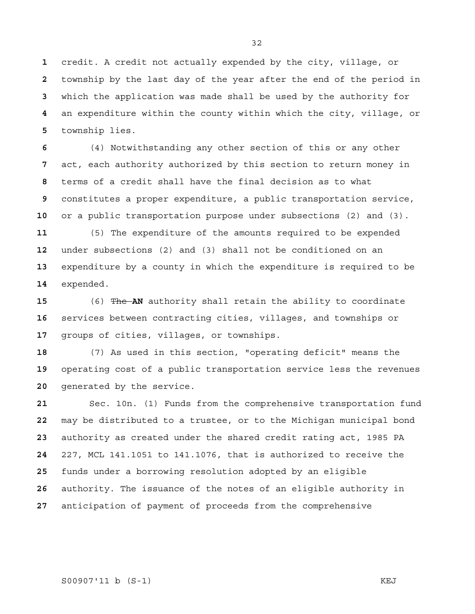credit. A credit not actually expended by the city, village, or township by the last day of the year after the end of the period in which the application was made shall be used by the authority for an expenditure within the county within which the city, village, or township lies.

(4) Notwithstanding any other section of this or any other act, each authority authorized by this section to return money in terms of a credit shall have the final decision as to what constitutes a proper expenditure, a public transportation service, or a public transportation purpose under subsections (2) and (3).

(5) The expenditure of the amounts required to be expended under subsections (2) and (3) shall not be conditioned on an expenditure by a county in which the expenditure is required to be expended.

(6) The **AN** authority shall retain the ability to coordinate services between contracting cities, villages, and townships or groups of cities, villages, or townships.

(7) As used in this section, "operating deficit" means the operating cost of a public transportation service less the revenues generated by the service.

Sec. 10n. (1) Funds from the comprehensive transportation fund may be distributed to a trustee, or to the Michigan municipal bond authority as created under the shared credit rating act, 1985 PA 227, MCL 141.1051 to 141.1076, that is authorized to receive the funds under a borrowing resolution adopted by an eligible authority. The issuance of the notes of an eligible authority in anticipation of payment of proceeds from the comprehensive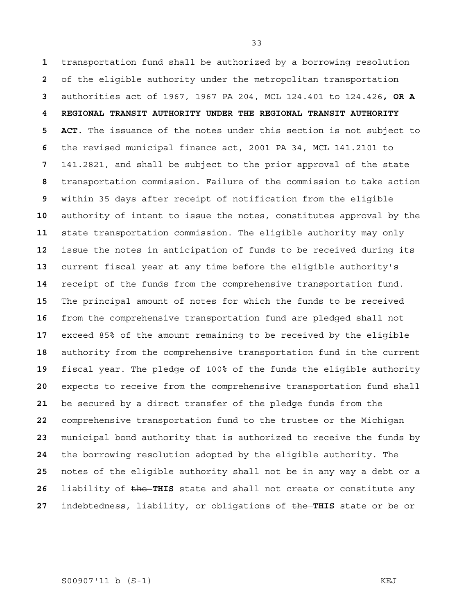transportation fund shall be authorized by a borrowing resolution of the eligible authority under the metropolitan transportation authorities act of 1967, 1967 PA 204, MCL 124.401 to 124.426**, OR A 4 REGIONAL TRANSIT AUTHORITY UNDER THE REGIONAL TRANSIT AUTHORITY 5 ACT**. The issuance of the notes under this section is not subject to the revised municipal finance act, 2001 PA 34, MCL 141.2101 to 141.2821, and shall be subject to the prior approval of the state transportation commission. Failure of the commission to take action within 35 days after receipt of notification from the eligible authority of intent to issue the notes, constitutes approval by the state transportation commission. The eligible authority may only issue the notes in anticipation of funds to be received during its current fiscal year at any time before the eligible authority's receipt of the funds from the comprehensive transportation fund. The principal amount of notes for which the funds to be received from the comprehensive transportation fund are pledged shall not exceed 85% of the amount remaining to be received by the eligible authority from the comprehensive transportation fund in the current fiscal year. The pledge of 100% of the funds the eligible authority expects to receive from the comprehensive transportation fund shall be secured by a direct transfer of the pledge funds from the comprehensive transportation fund to the trustee or the Michigan municipal bond authority that is authorized to receive the funds by the borrowing resolution adopted by the eligible authority. The notes of the eligible authority shall not be in any way a debt or a **liability of the THIS** state and shall not create or constitute any indebtedness, liability, or obligations of the **THIS** state or be or